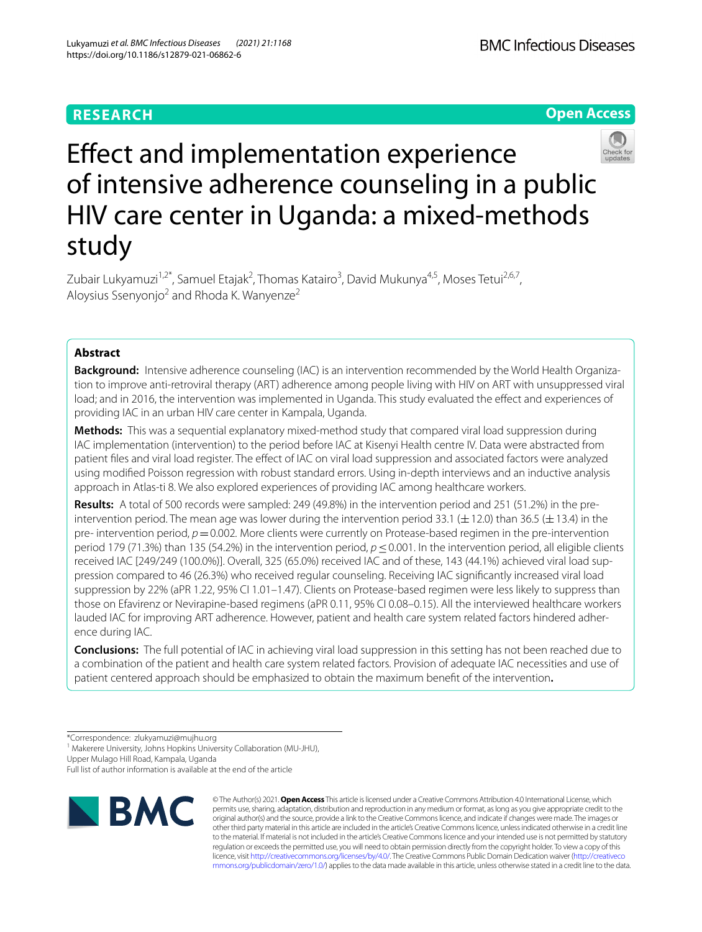# **RESEARCH**

**BMC Infectious Diseases** 

**Open Access**



Zubair Lukyamuzi<sup>1,2\*</sup>, Samuel Etajak<sup>2</sup>, Thomas Katairo<sup>3</sup>, David Mukunya<sup>4,5</sup>, Moses Tetui<sup>2,6,7</sup>, Aloysius Ssenyonjo<sup>2</sup> and Rhoda K. Wanyenze<sup>2</sup>

# **Abstract**

study

**Background:** Intensive adherence counseling (IAC) is an intervention recommended by the World Health Organization to improve anti-retroviral therapy (ART) adherence among people living with HIV on ART with unsuppressed viral load; and in 2016, the intervention was implemented in Uganda. This study evaluated the efect and experiences of providing IAC in an urban HIV care center in Kampala, Uganda.

**Methods:** This was a sequential explanatory mixed-method study that compared viral load suppression during IAC implementation (intervention) to the period before IAC at Kisenyi Health centre IV. Data were abstracted from patient fles and viral load register. The efect of IAC on viral load suppression and associated factors were analyzed using modifed Poisson regression with robust standard errors. Using in-depth interviews and an inductive analysis approach in Atlas-ti 8. We also explored experiences of providing IAC among healthcare workers.

**Results:** A total of 500 records were sampled: 249 (49.8%) in the intervention period and 251 (51.2%) in the preintervention period. The mean age was lower during the intervention period 33.1 ( $\pm$ 12.0) than 36.5 ( $\pm$ 13.4) in the pre- intervention period,  $p = 0.002$ . More clients were currently on Protease-based regimen in the pre-intervention period 179 (71.3%) than 135 (54.2%) in the intervention period, *p*≤0.001. In the intervention period, all eligible clients received IAC [249/249 (100.0%)]. Overall, 325 (65.0%) received IAC and of these, 143 (44.1%) achieved viral load suppression compared to 46 (26.3%) who received regular counseling. Receiving IAC signifcantly increased viral load suppression by 22% (aPR 1.22, 95% CI 1.01–1.47). Clients on Protease-based regimen were less likely to suppress than those on Efavirenz or Nevirapine-based regimens (aPR 0.11, 95% CI 0.08–0.15). All the interviewed healthcare workers lauded IAC for improving ART adherence. However, patient and health care system related factors hindered adherence during IAC.

**Conclusions:** The full potential of IAC in achieving viral load suppression in this setting has not been reached due to a combination of the patient and health care system related factors. Provision of adequate IAC necessities and use of patient centered approach should be emphasized to obtain the maximum beneft of the intervention**.**

<sup>1</sup> Makerere University, Johns Hopkins University Collaboration (MU-JHU),

Upper Mulago Hill Road, Kampala, Uganda

Full list of author information is available at the end of the article



© The Author(s) 2021. **Open Access** This article is licensed under a Creative Commons Attribution 4.0 International License, which permits use, sharing, adaptation, distribution and reproduction in any medium or format, as long as you give appropriate credit to the original author(s) and the source, provide a link to the Creative Commons licence, and indicate if changes were made. The images or other third party material in this article are included in the article's Creative Commons licence, unless indicated otherwise in a credit line to the material. If material is not included in the article's Creative Commons licence and your intended use is not permitted by statutory regulation or exceeds the permitted use, you will need to obtain permission directly from the copyright holder. To view a copy of this licence, visit [http://creativecommons.org/licenses/by/4.0/.](http://creativecommons.org/licenses/by/4.0/) The Creative Commons Public Domain Dedication waiver ([http://creativeco](http://creativecommons.org/publicdomain/zero/1.0/) [mmons.org/publicdomain/zero/1.0/](http://creativecommons.org/publicdomain/zero/1.0/)) applies to the data made available in this article, unless otherwise stated in a credit line to the data.

<sup>\*</sup>Correspondence: zlukyamuzi@mujhu.org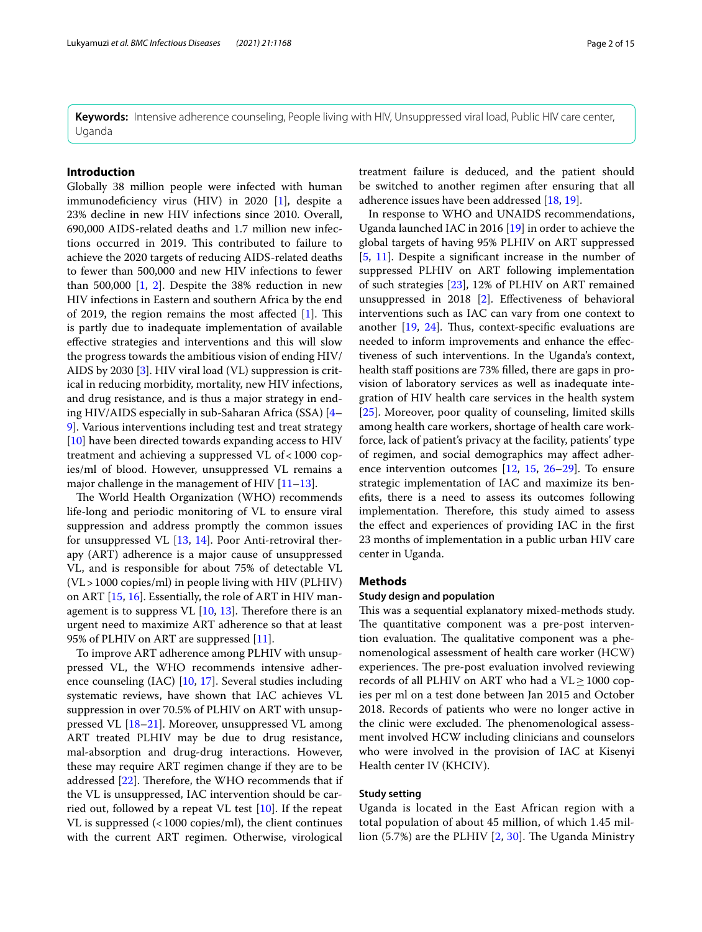**Keywords:** Intensive adherence counseling, People living with HIV, Unsuppressed viral load, Public HIV care center, Uganda

## **Introduction**

Globally 38 million people were infected with human immunodefciency virus (HIV) in 2020 [[1\]](#page-13-0), despite a 23% decline in new HIV infections since 2010. Overall, 690,000 AIDS-related deaths and 1.7 million new infections occurred in 2019. This contributed to failure to achieve the 2020 targets of reducing AIDS-related deaths to fewer than 500,000 and new HIV infections to fewer than 500,000 [\[1](#page-13-0), [2\]](#page-13-1). Despite the 38% reduction in new HIV infections in Eastern and southern Africa by the end of 2019, the region remains the most affected  $[1]$  $[1]$ . This is partly due to inadequate implementation of available efective strategies and interventions and this will slow the progress towards the ambitious vision of ending HIV/ AIDS by 2030 [[3\]](#page-13-2). HIV viral load (VL) suppression is critical in reducing morbidity, mortality, new HIV infections, and drug resistance, and is thus a major strategy in ending HIV/AIDS especially in sub-Saharan Africa (SSA) [[4–](#page-13-3) [9\]](#page-13-4). Various interventions including test and treat strategy [[10\]](#page-13-5) have been directed towards expanding access to HIV treatment and achieving a suppressed VL of<1000 copies/ml of blood. However, unsuppressed VL remains a major challenge in the management of HIV  $[11-13]$  $[11-13]$  $[11-13]$ .

The World Health Organization (WHO) recommends life-long and periodic monitoring of VL to ensure viral suppression and address promptly the common issues for unsuppressed VL [\[13](#page-13-7), [14](#page-13-8)]. Poor Anti-retroviral therapy (ART) adherence is a major cause of unsuppressed VL, and is responsible for about 75% of detectable VL (VL>1000 copies/ml) in people living with HIV (PLHIV) on ART [\[15](#page-13-9), [16](#page-13-10)]. Essentially, the role of ART in HIV management is to suppress VL  $[10, 13]$  $[10, 13]$  $[10, 13]$  $[10, 13]$  $[10, 13]$ . Therefore there is an urgent need to maximize ART adherence so that at least 95% of PLHIV on ART are suppressed [[11\]](#page-13-6).

To improve ART adherence among PLHIV with unsuppressed VL, the WHO recommends intensive adherence counseling (IAC) [[10,](#page-13-5) [17\]](#page-13-11). Several studies including systematic reviews, have shown that IAC achieves VL suppression in over 70.5% of PLHIV on ART with unsuppressed VL [\[18](#page-13-12)–[21\]](#page-13-13). Moreover, unsuppressed VL among ART treated PLHIV may be due to drug resistance, mal-absorption and drug-drug interactions. However, these may require ART regimen change if they are to be addressed  $[22]$  $[22]$ . Therefore, the WHO recommends that if the VL is unsuppressed, IAC intervention should be carried out, followed by a repeat VL test [\[10](#page-13-5)]. If the repeat VL is suppressed  $\left($  < 1000 copies/ml), the client continues with the current ART regimen. Otherwise, virological treatment failure is deduced, and the patient should be switched to another regimen after ensuring that all adherence issues have been addressed [[18](#page-13-12), [19\]](#page-13-15).

In response to WHO and UNAIDS recommendations, Uganda launched IAC in 2016 [\[19](#page-13-15)] in order to achieve the global targets of having 95% PLHIV on ART suppressed [[5,](#page-13-16) [11\]](#page-13-6). Despite a signifcant increase in the number of suppressed PLHIV on ART following implementation of such strategies [[23](#page-13-17)], 12% of PLHIV on ART remained unsuppressed in 2018 [\[2](#page-13-1)]. Efectiveness of behavioral interventions such as IAC can vary from one context to another  $[19, 24]$  $[19, 24]$  $[19, 24]$  $[19, 24]$ . Thus, context-specific evaluations are needed to inform improvements and enhance the efectiveness of such interventions. In the Uganda's context, health staff positions are 73% filled, there are gaps in provision of laboratory services as well as inadequate integration of HIV health care services in the health system [[25\]](#page-13-19). Moreover, poor quality of counseling, limited skills among health care workers, shortage of health care workforce, lack of patient's privacy at the facility, patients' type of regimen, and social demographics may afect adherence intervention outcomes [\[12](#page-13-20), [15](#page-13-9), [26](#page-13-21)[–29](#page-13-22)]. To ensure strategic implementation of IAC and maximize its benefts, there is a need to assess its outcomes following implementation. Therefore, this study aimed to assess the efect and experiences of providing IAC in the frst 23 months of implementation in a public urban HIV care center in Uganda.

### **Methods**

### **Study design and population**

This was a sequential explanatory mixed-methods study. The quantitative component was a pre-post intervention evaluation. The qualitative component was a phenomenological assessment of health care worker (HCW) experiences. The pre-post evaluation involved reviewing records of all PLHIV on ART who had a VL≥1000 copies per ml on a test done between Jan 2015 and October 2018. Records of patients who were no longer active in the clinic were excluded. The phenomenological assessment involved HCW including clinicians and counselors who were involved in the provision of IAC at Kisenyi Health center IV (KHCIV).

### **Study setting**

Uganda is located in the East African region with a total population of about 45 million, of which 1.45 million (5.7%) are the PLHIV  $[2, 30]$  $[2, 30]$  $[2, 30]$  $[2, 30]$  $[2, 30]$ . The Uganda Ministry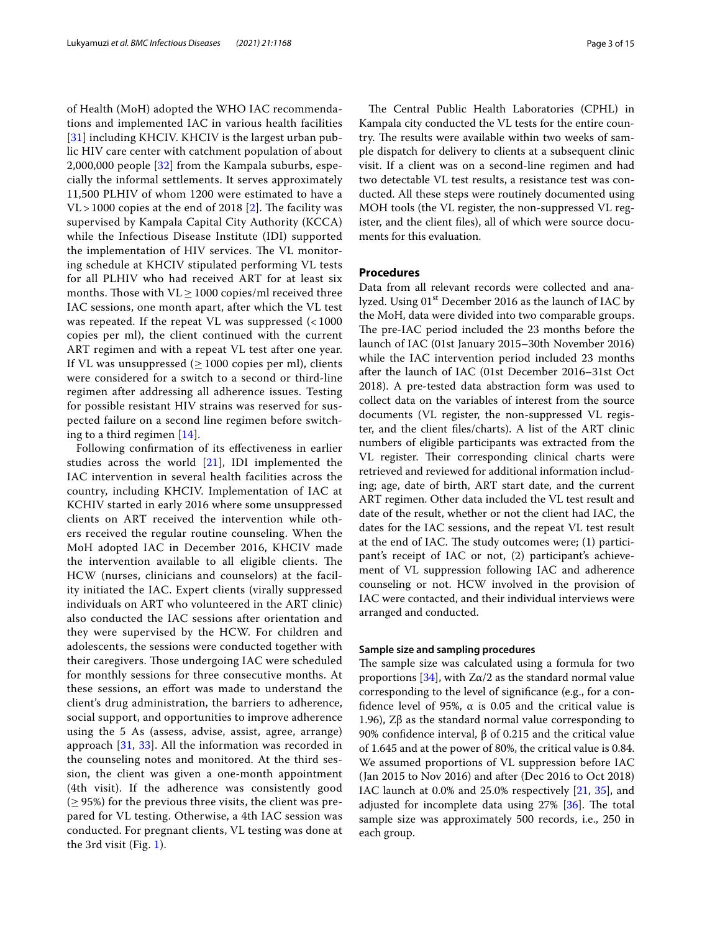of Health (MoH) adopted the WHO IAC recommendations and implemented IAC in various health facilities [[31](#page-13-24)] including KHCIV. KHCIV is the largest urban public HIV care center with catchment population of about 2,000,000 people [[32](#page-13-25)] from the Kampala suburbs, especially the informal settlements. It serves approximately 11,500 PLHIV of whom 1200 were estimated to have a  $VL > 1000$  copies at the end of 2018 [[2\]](#page-13-1). The facility was supervised by Kampala Capital City Authority (KCCA) while the Infectious Disease Institute (IDI) supported the implementation of HIV services. The VL monitoring schedule at KHCIV stipulated performing VL tests for all PLHIV who had received ART for at least six months. Those with  $VL \ge 1000$  copies/ml received three IAC sessions, one month apart, after which the VL test was repeated. If the repeat VL was suppressed (< 1000 copies per ml), the client continued with the current ART regimen and with a repeat VL test after one year. If VL was unsuppressed  $(≥ 1000$  copies per ml), clients were considered for a switch to a second or third-line regimen after addressing all adherence issues. Testing for possible resistant HIV strains was reserved for suspected failure on a second line regimen before switching to a third regimen [\[14](#page-13-8)].

Following confrmation of its efectiveness in earlier studies across the world [\[21](#page-13-13)], IDI implemented the IAC intervention in several health facilities across the country, including KHCIV. Implementation of IAC at KCHIV started in early 2016 where some unsuppressed clients on ART received the intervention while others received the regular routine counseling. When the MoH adopted IAC in December 2016, KHCIV made the intervention available to all eligible clients. The HCW (nurses, clinicians and counselors) at the facility initiated the IAC. Expert clients (virally suppressed individuals on ART who volunteered in the ART clinic) also conducted the IAC sessions after orientation and they were supervised by the HCW. For children and adolescents, the sessions were conducted together with their caregivers. Those undergoing IAC were scheduled for monthly sessions for three consecutive months. At these sessions, an efort was made to understand the client's drug administration, the barriers to adherence, social support, and opportunities to improve adherence using the 5 As (assess, advise, assist, agree, arrange) approach [\[31](#page-13-24), [33\]](#page-13-26). All the information was recorded in the counseling notes and monitored. At the third session, the client was given a one-month appointment (4th visit). If the adherence was consistently good  $(≥ 95%)$  for the previous three visits, the client was prepared for VL testing. Otherwise, a 4th IAC session was conducted. For pregnant clients, VL testing was done at the 3rd visit (Fig. [1\)](#page-3-0).

The Central Public Health Laboratories (CPHL) in Kampala city conducted the VL tests for the entire country. The results were available within two weeks of sample dispatch for delivery to clients at a subsequent clinic visit. If a client was on a second-line regimen and had two detectable VL test results, a resistance test was conducted. All these steps were routinely documented using MOH tools (the VL register, the non-suppressed VL register, and the client fles), all of which were source documents for this evaluation.

### **Procedures**

Data from all relevant records were collected and analyzed. Using 01<sup>st</sup> December 2016 as the launch of IAC by the MoH, data were divided into two comparable groups. The pre-IAC period included the 23 months before the launch of IAC (01st January 2015–30th November 2016) while the IAC intervention period included 23 months after the launch of IAC (01st December 2016–31st Oct 2018). A pre-tested data abstraction form was used to collect data on the variables of interest from the source documents (VL register, the non-suppressed VL register, and the client fles/charts). A list of the ART clinic numbers of eligible participants was extracted from the VL register. Their corresponding clinical charts were retrieved and reviewed for additional information including; age, date of birth, ART start date, and the current ART regimen. Other data included the VL test result and date of the result, whether or not the client had IAC, the dates for the IAC sessions, and the repeat VL test result at the end of IAC. The study outcomes were;  $(1)$  participant's receipt of IAC or not, (2) participant's achievement of VL suppression following IAC and adherence counseling or not. HCW involved in the provision of IAC were contacted, and their individual interviews were arranged and conducted.

### **Sample size and sampling procedures**

The sample size was calculated using a formula for two proportions [\[34](#page-13-27)], with  $Z\alpha/2$  as the standard normal value corresponding to the level of signifcance (e.g., for a confidence level of 95%,  $\alpha$  is 0.05 and the critical value is 1.96), Zβ as the standard normal value corresponding to 90% confdence interval, β of 0.215 and the critical value of 1.645 and at the power of 80%, the critical value is 0.84. We assumed proportions of VL suppression before IAC (Jan 2015 to Nov 2016) and after (Dec 2016 to Oct 2018) IAC launch at 0.0% and 25.0% respectively [\[21](#page-13-13), [35\]](#page-13-28), and adjusted for incomplete data using  $27\%$   $\left[36\right]$ . The total sample size was approximately 500 records, i.e., 250 in each group.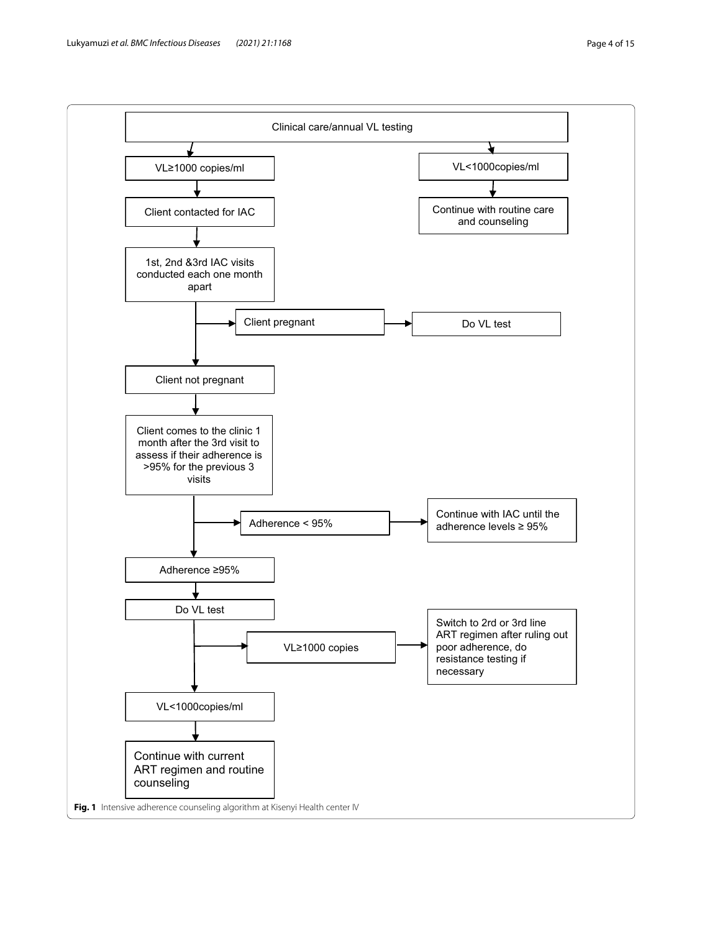<span id="page-3-0"></span>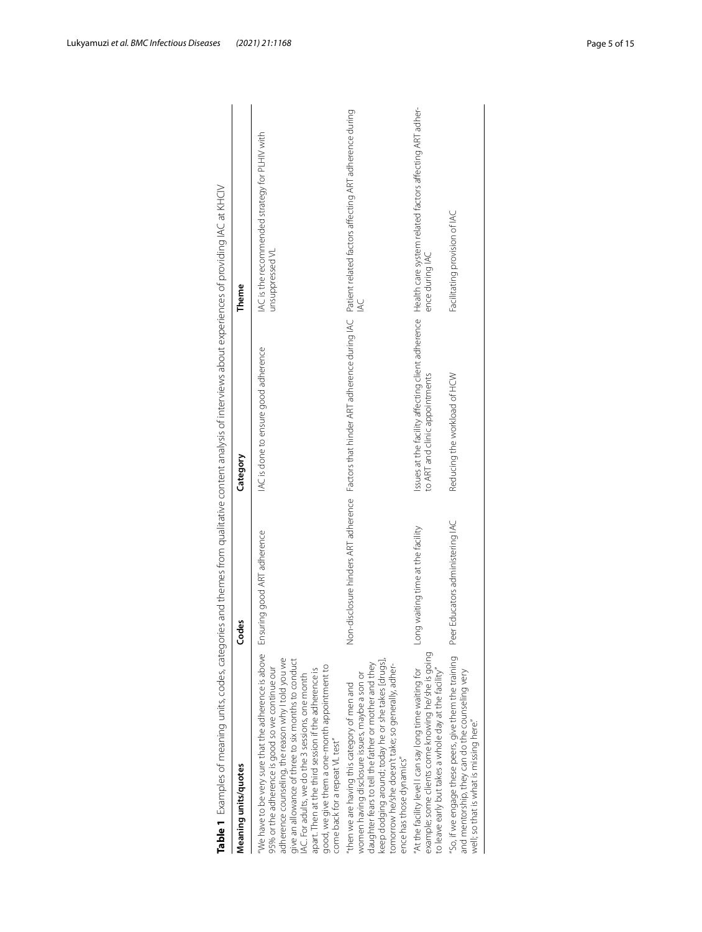| Meaning units/quotes                                                                                                                                                                                                                                                                                                                                                                                               | Codes                             | Category                             | Theme                                                                                                                                              |
|--------------------------------------------------------------------------------------------------------------------------------------------------------------------------------------------------------------------------------------------------------------------------------------------------------------------------------------------------------------------------------------------------------------------|-----------------------------------|--------------------------------------|----------------------------------------------------------------------------------------------------------------------------------------------------|
| We have to be very sure that the adherence is above<br>adherence counseling, the reason why I told you we<br>give an allowance of three to six months to conduct<br>good, we give them a one-month appointment to<br>95% or the adherence is good so we continue our<br>apart. Then at the third session if the adherence is<br>AC. For adults, we do the 3 sessions, one month<br>come back for a repeat VL test" | Ensuring good ART adherence       | IAC is done to ensure good adherence | IAC is the recommended strategy for PLHIV with<br>unsuppressed VL                                                                                  |
| keep dodging around; today he or she takes [drugs],<br>tomorrow he/she doesn't take; so generally, adher-<br>daughter fears to tell the father or mother and they<br>women having disclosure issues, maybe a son or<br>then we are having this category of men and<br>ence has those dynamics"                                                                                                                     |                                   |                                      | Non-disclosure hinders ART adherence Factors that hinder ART adherence during IAC Patient related factors affecting ART adherence during<br>$\leq$ |
| example; some clients come knowing he/she is going<br>'At the facility level I can say long time waiting for<br>to leave early but takes a whole day at the facility"                                                                                                                                                                                                                                              | Long waiting time at the facility | to ART and clinic appointments       | issues at the facility affecting client adherence Health care system related factors affecting ART adher-<br>ence during IAC                       |
| So, if we engage these peers, give them the training<br>and mentorship, they can do the counseling very<br>well; so that is what is missing here."                                                                                                                                                                                                                                                                 | Peer Educators administering IAC  | Reducing the workload of HCW         | Facilitating provision of IAC                                                                                                                      |

<span id="page-4-0"></span>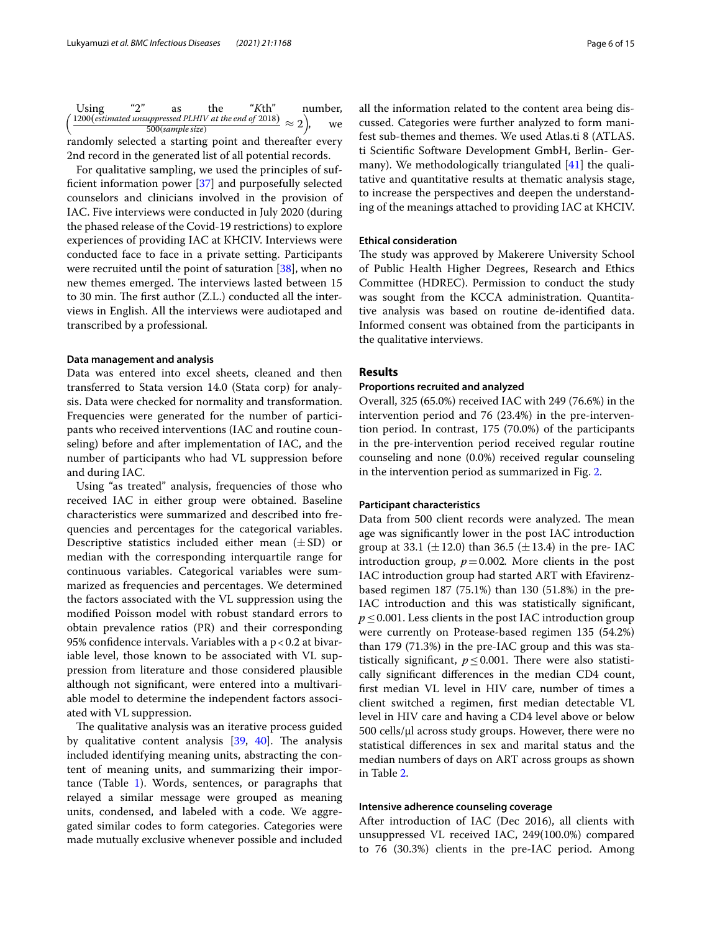| Using                                                                                        | $\mathfrak{u}_{\mathcal{D}}$ " | as               | the | " $K$ th" | number. |    |
|----------------------------------------------------------------------------------------------|--------------------------------|------------------|-----|-----------|---------|----|
| $(1200(\text{estimated} \text{$ <u>unsuppressed</u> PLHIV at the end of 2018)) $\approx$ 2), |                                |                  |     |           |         | we |
|                                                                                              |                                | 500(sample size) |     |           |         |    |
| randomly selected a starting point and thereafter every                                      |                                |                  |     |           |         |    |
| 2nd record in the generated list of all potential records.                                   |                                |                  |     |           |         |    |

For qualitative sampling, we used the principles of suffcient information power [\[37\]](#page-13-30) and purposefully selected counselors and clinicians involved in the provision of IAC. Five interviews were conducted in July 2020 (during the phased release of the Covid-19 restrictions) to explore experiences of providing IAC at KHCIV. Interviews were conducted face to face in a private setting. Participants were recruited until the point of saturation [[38](#page-13-31)], when no new themes emerged. The interviews lasted between 15 to 30 min. The first author  $(Z.L.)$  conducted all the interviews in English. All the interviews were audiotaped and transcribed by a professional.

#### **Data management and analysis**

Data was entered into excel sheets, cleaned and then transferred to Stata version 14.0 (Stata corp) for analysis. Data were checked for normality and transformation. Frequencies were generated for the number of participants who received interventions (IAC and routine counseling) before and after implementation of IAC, and the number of participants who had VL suppression before and during IAC.

Using "as treated" analysis, frequencies of those who received IAC in either group were obtained. Baseline characteristics were summarized and described into frequencies and percentages for the categorical variables. Descriptive statistics included either mean  $(\pm SD)$  or median with the corresponding interquartile range for continuous variables. Categorical variables were summarized as frequencies and percentages. We determined the factors associated with the VL suppression using the modifed Poisson model with robust standard errors to obtain prevalence ratios (PR) and their corresponding 95% confidence intervals. Variables with a  $p < 0.2$  at bivariable level, those known to be associated with VL suppression from literature and those considered plausible although not signifcant, were entered into a multivariable model to determine the independent factors associated with VL suppression.

The qualitative analysis was an iterative process guided by qualitative content analysis  $[39, 40]$  $[39, 40]$  $[39, 40]$  $[39, 40]$  $[39, 40]$ . The analysis included identifying meaning units, abstracting the content of meaning units, and summarizing their importance (Table [1\)](#page-4-0). Words, sentences, or paragraphs that relayed a similar message were grouped as meaning units, condensed, and labeled with a code. We aggregated similar codes to form categories. Categories were made mutually exclusive whenever possible and included all the information related to the content area being discussed. Categories were further analyzed to form manifest sub-themes and themes. We used Atlas.ti 8 (ATLAS. ti Scientifc Software Development GmbH, Berlin- Germany). We methodologically triangulated [[41](#page-13-34)] the qualitative and quantitative results at thematic analysis stage, to increase the perspectives and deepen the understanding of the meanings attached to providing IAC at KHCIV.

#### **Ethical consideration**

The study was approved by Makerere University School of Public Health Higher Degrees, Research and Ethics Committee (HDREC). Permission to conduct the study was sought from the KCCA administration. Quantitative analysis was based on routine de-identifed data. Informed consent was obtained from the participants in the qualitative interviews.

### **Results**

#### **Proportions recruited and analyzed**

Overall, 325 (65.0%) received IAC with 249 (76.6%) in the intervention period and 76 (23.4%) in the pre-intervention period. In contrast, 175 (70.0%) of the participants in the pre-intervention period received regular routine counseling and none (0.0%) received regular counseling in the intervention period as summarized in Fig. [2.](#page-6-0)

#### **Participant characteristics**

Data from 500 client records were analyzed. The mean age was signifcantly lower in the post IAC introduction group at 33.1 ( $\pm$ 12.0) than 36.5 ( $\pm$ 13.4) in the pre- IAC introduction group,  $p = 0.002$ . More clients in the post IAC introduction group had started ART with Efavirenzbased regimen 187 (75.1%) than 130 (51.8%) in the pre-IAC introduction and this was statistically signifcant, *p* ≤ 0.001. Less clients in the post IAC introduction group were currently on Protease-based regimen 135 (54.2%) than 179 (71.3%) in the pre-IAC group and this was statistically significant,  $p \leq 0.001$ . There were also statistically signifcant diferences in the median CD4 count, frst median VL level in HIV care, number of times a client switched a regimen, frst median detectable VL level in HIV care and having a CD4 level above or below 500 cells/µl across study groups. However, there were no statistical diferences in sex and marital status and the median numbers of days on ART across groups as shown in Table [2.](#page-6-1)

#### **Intensive adherence counseling coverage**

After introduction of IAC (Dec 2016), all clients with unsuppressed VL received IAC, 249(100.0%) compared to 76 (30.3%) clients in the pre-IAC period. Among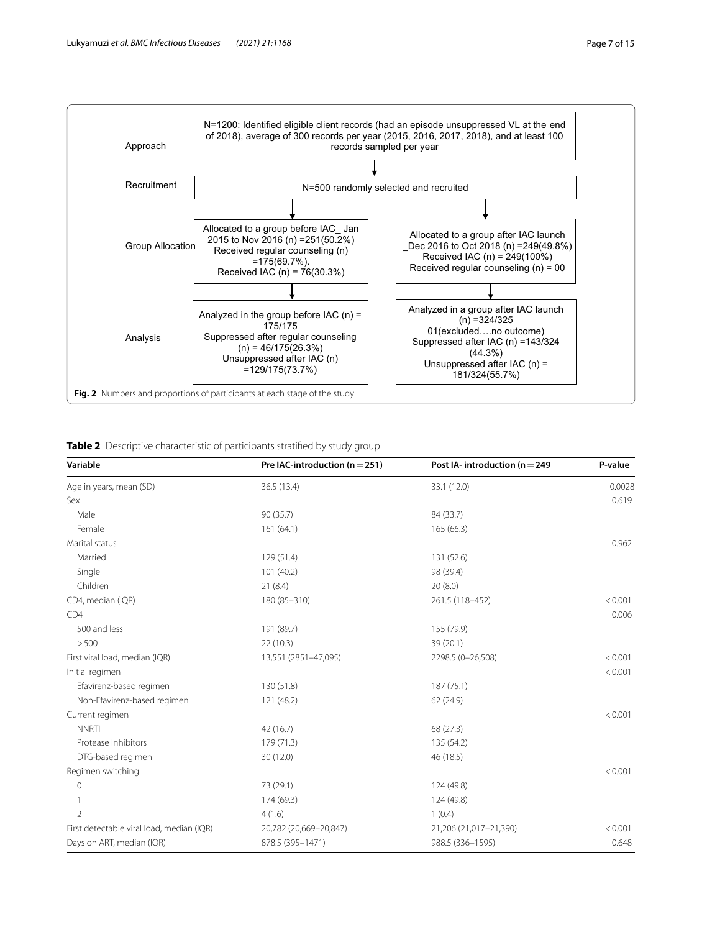

<span id="page-6-1"></span><span id="page-6-0"></span>

|  |  | Table 2 Descriptive characteristic of participants stratified by study group |  |  |  |  |  |  |
|--|--|------------------------------------------------------------------------------|--|--|--|--|--|--|
|--|--|------------------------------------------------------------------------------|--|--|--|--|--|--|

| Variable                                  | Pre IAC-introduction ( $n = 251$ ) | Post IA-introduction ( $n = 249$ | P-value |  |
|-------------------------------------------|------------------------------------|----------------------------------|---------|--|
| Age in years, mean (SD)                   | 36.5 (13.4)                        | 33.1 (12.0)                      | 0.0028  |  |
| Sex                                       |                                    |                                  | 0.619   |  |
| Male                                      | 90 (35.7)                          | 84 (33.7)                        |         |  |
| Female                                    | 161(64.1)                          | 165 (66.3)                       |         |  |
| Marital status                            |                                    |                                  | 0.962   |  |
| Married                                   | 129 (51.4)                         | 131 (52.6)                       |         |  |
| Single                                    | 101 (40.2)                         | 98 (39.4)                        |         |  |
| Children                                  | 21(8.4)                            | 20(8.0)                          |         |  |
| CD4, median (IQR)                         | 180 (85-310)                       | 261.5 (118-452)                  | < 0.001 |  |
| CD4                                       |                                    |                                  | 0.006   |  |
| 500 and less                              | 191 (89.7)                         | 155 (79.9)                       |         |  |
| > 500                                     | 22(10.3)                           | 39 (20.1)                        |         |  |
| First viral load, median (IQR)            | 13,551 (2851-47,095)               | 2298.5 (0-26,508)                | < 0.001 |  |
| Initial regimen                           |                                    |                                  | < 0.001 |  |
| Efavirenz-based regimen                   | 130 (51.8)                         | 187 (75.1)                       |         |  |
| Non-Efavirenz-based regimen               | 121 (48.2)                         | 62 (24.9)                        |         |  |
| Current regimen                           |                                    |                                  | < 0.001 |  |
| <b>NNRTI</b>                              | 42 (16.7)                          | 68 (27.3)                        |         |  |
| Protease Inhibitors                       | 179 (71.3)                         | 135 (54.2)                       |         |  |
| DTG-based regimen                         | 30 (12.0)                          | 46 (18.5)                        |         |  |
| Regimen switching                         |                                    |                                  | < 0.001 |  |
| $\mathbf 0$                               | 73 (29.1)                          | 124 (49.8)                       |         |  |
|                                           | 174 (69.3)                         | 124 (49.8)                       |         |  |
| $\mathfrak{D}$                            | 4(1.6)                             | 1(0.4)                           |         |  |
| First detectable viral load, median (IQR) | 20,782 (20,669-20,847)             | 21,206 (21,017-21,390)           | < 0.001 |  |
| Days on ART, median (IQR)                 | 878.5 (395-1471)                   | 988.5 (336-1595)                 | 0.648   |  |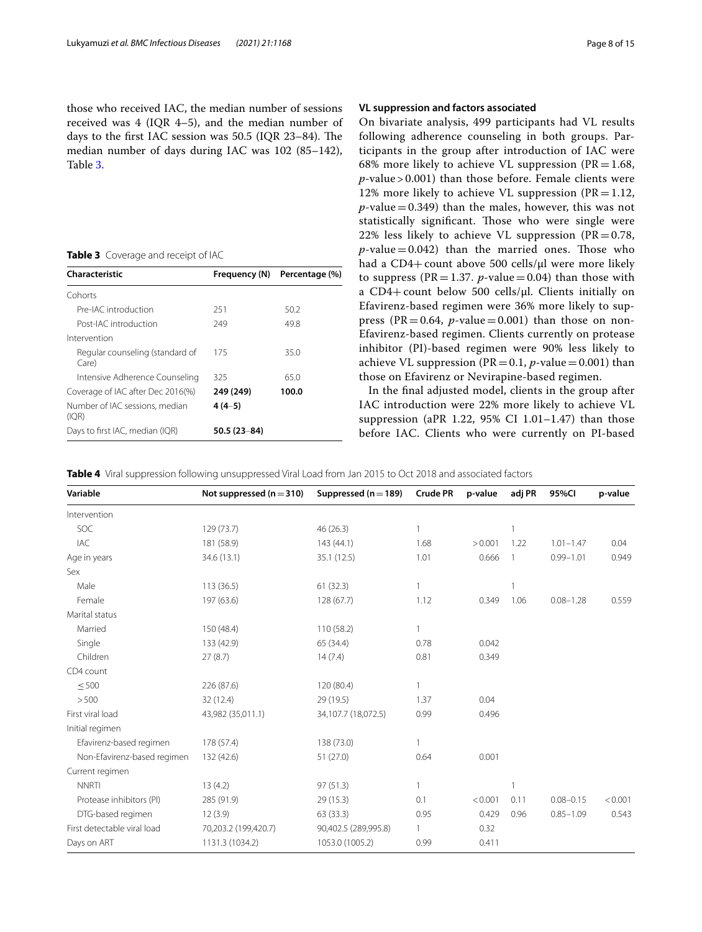those who received IAC, the median number of sessions received was 4 (IQR 4–5), and the median number of days to the first IAC session was 50.5 (IQR 23-84). The median number of days during IAC was 102 (85–142), Table [3](#page-7-0).

<span id="page-7-0"></span>**Table 3** Coverage and receipt of IAC

| Characteristic                           | Frequency (N)   | Percentage (%) |
|------------------------------------------|-----------------|----------------|
| Cohorts                                  |                 |                |
| Pre-IAC introduction                     | 251             | 50.2           |
| Post-IAC introduction                    | 249             | 49.8           |
| Intervention                             |                 |                |
| Regular counseling (standard of<br>Care) | 175             | 35.0           |
| Intensive Adherence Counseling           | 325             | 65.0           |
| Coverage of IAC after Dec 2016(%)        | 249 (249)       | 100.0          |
| Number of IAC sessions, median<br>(IQR)  | $4(4-5)$        |                |
| Days to first IAC, median (IQR)          | $50.5(23 - 84)$ |                |

## **VL suppression and factors associated**

On bivariate analysis, 499 participants had VL results following adherence counseling in both groups. Participants in the group after introduction of IAC were 68% more likely to achieve VL suppression ( $PR = 1.68$ , *p-*value > 0.001) than those before. Female clients were 12% more likely to achieve VL suppression ( $PR = 1.12$ ,  $p$ -value = 0.349) than the males, however, this was not statistically significant. Those who were single were 22% less likely to achieve VL suppression ( $PR = 0.78$ ,  $p$ -value = 0.042) than the married ones. Those who had a CD4+ count above 500 cells/µl were more likely to suppress ( $PR = 1.37$ . *p*-value = 0.04) than those with a CD4+count below 500 cells/µl. Clients initially on Efavirenz-based regimen were 36% more likely to suppress (PR=0.64,  $p$ -value=0.001) than those on non-Efavirenz-based regimen. Clients currently on protease inhibitor (PI)-based regimen were 90% less likely to achieve VL suppression ( $PR = 0.1$ ,  $p$ -value = 0.001) than those on Efavirenz or Nevirapine-based regimen.

In the fnal adjusted model, clients in the group after IAC introduction were 22% more likely to achieve VL suppression (aPR 1.22,  $95\%$  CI 1.01-1.47) than those before IAC. Clients who were currently on PI-based

<span id="page-7-1"></span>

| Variable                    | Not suppressed $(n=310)$ | Suppressed ( $n = 189$ ) | <b>Crude PR</b> | p-value | adj PR         | 95%CI         | p-value |
|-----------------------------|--------------------------|--------------------------|-----------------|---------|----------------|---------------|---------|
| Intervention                |                          |                          |                 |         |                |               |         |
| SOC                         | 129 (73.7)               | 46 (26.3)                | 1               |         | 1              |               |         |
| <b>IAC</b>                  | 181 (58.9)               | 143(44.1)                | 1.68            | > 0.001 | 1.22           | $1.01 - 1.47$ | 0.04    |
| Age in years                | 34.6 (13.1)              | 35.1 (12.5)              | 1.01            | 0.666   | $\overline{1}$ | $0.99 - 1.01$ | 0.949   |
| Sex                         |                          |                          |                 |         |                |               |         |
| Male                        | 113(36.5)                | 61(32.3)                 | $\mathbf{1}$    |         | 1              |               |         |
| Female                      | 197 (63.6)               | 128 (67.7)               | 1.12            | 0.349   | 1.06           | $0.08 - 1.28$ | 0.559   |
| Marital status              |                          |                          |                 |         |                |               |         |
| Married                     | 150 (48.4)               | 110(58.2)                | $\mathbf{1}$    |         |                |               |         |
| Single                      | 133 (42.9)               | 65 (34.4)                | 0.78            | 0.042   |                |               |         |
| Children                    | 27(8.7)                  | 14(7.4)                  | 0.81            | 0.349   |                |               |         |
| CD4 count                   |                          |                          |                 |         |                |               |         |
| < 500                       | 226 (87.6)               | 120 (80.4)               | $\mathbf{1}$    |         |                |               |         |
| > 500                       | 32 (12.4)                | 29 (19.5)                | 1.37            | 0.04    |                |               |         |
| First viral load            | 43,982 (35,011.1)        | 34,107.7 (18,072.5)      | 0.99            | 0.496   |                |               |         |
| Initial regimen             |                          |                          |                 |         |                |               |         |
| Efavirenz-based regimen     | 178 (57.4)               | 138 (73.0)               | $\mathbf{1}$    |         |                |               |         |
| Non-Efavirenz-based regimen | 132 (42.6)               | 51 (27.0)                | 0.64            | 0.001   |                |               |         |
| Current regimen             |                          |                          |                 |         |                |               |         |
| <b>NNRTI</b>                | 13(4.2)                  | 97(51.3)                 | $\mathbf{1}$    |         |                |               |         |
| Protease inhibitors (PI)    | 285 (91.9)               | 29 (15.3)                | 0.1             | < 0.001 | 0.11           | $0.08 - 0.15$ | < 0.001 |
| DTG-based regimen           | 12(3.9)                  | 63 (33.3)                | 0.95            | 0.429   | 0.96           | $0.85 - 1.09$ | 0.543   |
| First detectable viral load | 70,203.2 (199,420.7)     | 90,402.5 (289,995.8)     | $\mathbf{1}$    | 0.32    |                |               |         |
| Days on ART                 | 1131.3 (1034.2)          | 1053.0 (1005.2)          | 0.99            | 0.411   |                |               |         |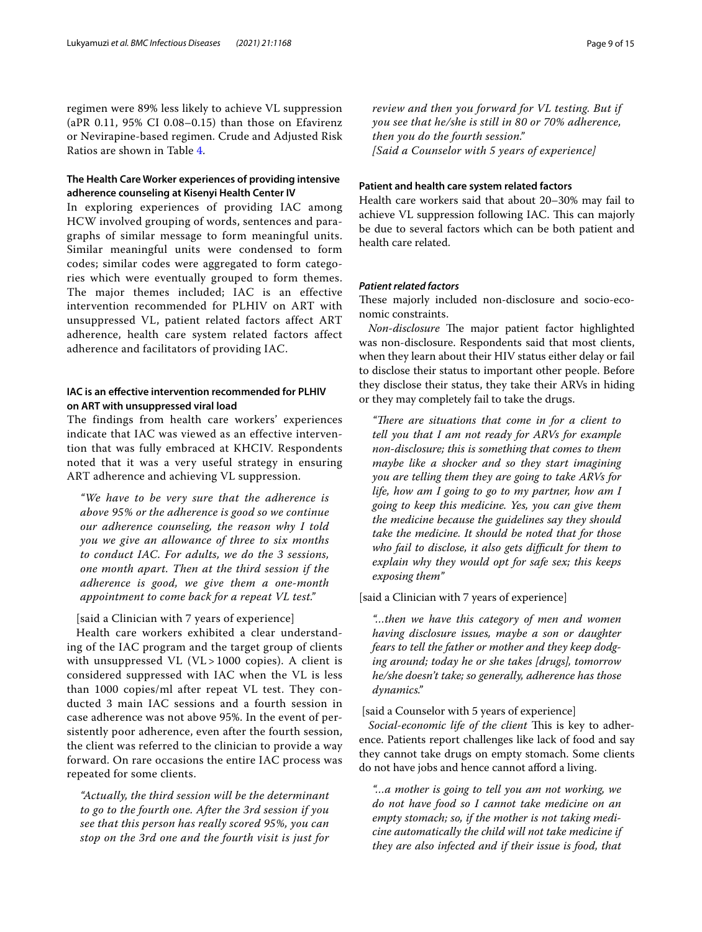regimen were 89% less likely to achieve VL suppression (aPR 0.11, 95% CI 0.08–0.15) than those on Efavirenz or Nevirapine-based regimen. Crude and Adjusted Risk Ratios are shown in Table [4.](#page-7-1)

# **The Health Care Worker experiences of providing intensive adherence counseling at Kisenyi Health Center IV**

In exploring experiences of providing IAC among HCW involved grouping of words, sentences and paragraphs of similar message to form meaningful units. Similar meaningful units were condensed to form codes; similar codes were aggregated to form categories which were eventually grouped to form themes. The major themes included; IAC is an effective intervention recommended for PLHIV on ART with unsuppressed VL, patient related factors affect ART adherence, health care system related factors affect adherence and facilitators of providing IAC.

# **IAC is an efective intervention recommended for PLHIV on ART with unsuppressed viral load**

The findings from health care workers' experiences indicate that IAC was viewed as an effective intervention that was fully embraced at KHCIV. Respondents noted that it was a very useful strategy in ensuring ART adherence and achieving VL suppression.

*"We have to be very sure that the adherence is above 95% or the adherence is good so we continue our adherence counseling, the reason why I told you we give an allowance of three to six months to conduct IAC. For adults, we do the 3 sessions, one month apart. Then at the third session if the adherence is good, we give them a one-month appointment to come back for a repeat VL test."*

### [said a Clinician with 7 years of experience]

Health care workers exhibited a clear understanding of the IAC program and the target group of clients with unsuppressed VL  $(VL > 1000$  copies). A client is considered suppressed with IAC when the VL is less than 1000 copies/ml after repeat VL test. They conducted 3 main IAC sessions and a fourth session in case adherence was not above 95%. In the event of persistently poor adherence, even after the fourth session, the client was referred to the clinician to provide a way forward. On rare occasions the entire IAC process was repeated for some clients.

*"Actually, the third session will be the determinant to go to the fourth one. After the 3rd session if you see that this person has really scored 95%, you can stop on the 3rd one and the fourth visit is just for*  *review and then you forward for VL testing. But if you see that he/she is still in 80 or 70% adherence, then you do the fourth session." [Said a Counselor with 5 years of experience]*

### **Patient and health care system related factors**

Health care workers said that about 20–30% may fail to achieve VL suppression following IAC. This can majorly be due to several factors which can be both patient and health care related.

### *Patient related factors*

These majorly included non-disclosure and socio-economic constraints.

*Non-disclosure* The major patient factor highlighted was non-disclosure. Respondents said that most clients, when they learn about their HIV status either delay or fail to disclose their status to important other people. Before they disclose their status, they take their ARVs in hiding or they may completely fail to take the drugs.

"There are situations that come in for a client to *tell you that I am not ready for ARVs for example non-disclosure; this is something that comes to them maybe like a shocker and so they start imagining you are telling them they are going to take ARVs for life, how am I going to go to my partner, how am I going to keep this medicine. Yes, you can give them the medicine because the guidelines say they should take the medicine. It should be noted that for those*  who fail to disclose, it also gets difficult for them to *explain why they would opt for safe sex; this keeps exposing them"*

#### [said a Clinician with 7 years of experience]

*"…then we have this category of men and women having disclosure issues, maybe a son or daughter fears to tell the father or mother and they keep dodging around; today he or she takes [drugs], tomorrow he/she doesn't take; so generally, adherence has those dynamics."*

[said a Counselor with 5 years of experience]

*Social-economic life of the client* This is key to adherence. Patients report challenges like lack of food and say they cannot take drugs on empty stomach. Some clients do not have jobs and hence cannot aford a living.

*"…a mother is going to tell you am not working, we do not have food so I cannot take medicine on an empty stomach; so, if the mother is not taking medicine automatically the child will not take medicine if they are also infected and if their issue is food, that*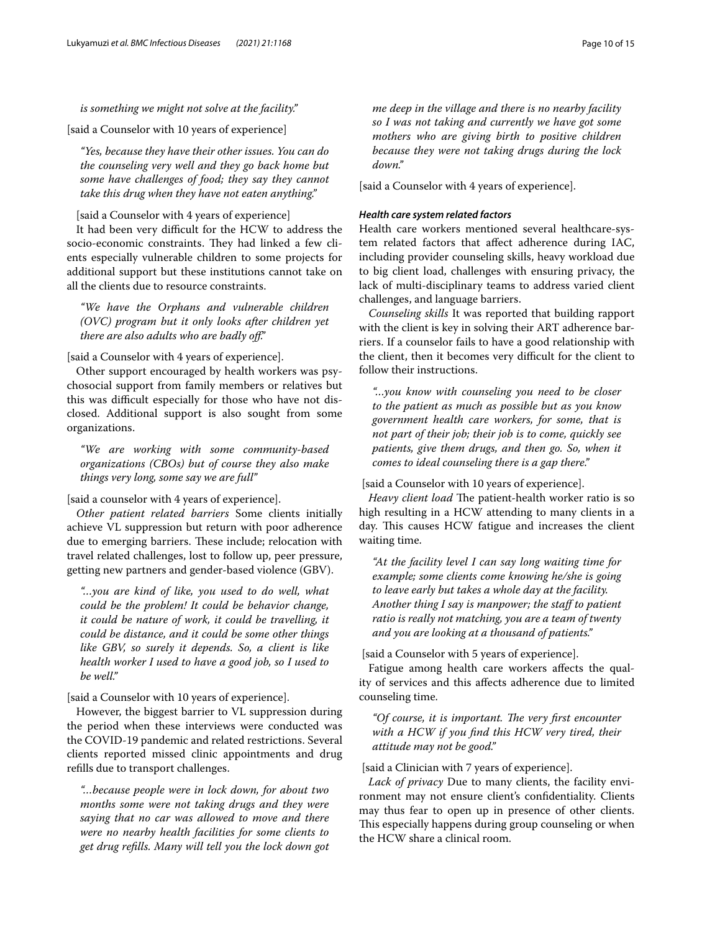### *is something we might not solve at the facility."*

[said a Counselor with 10 years of experience]

*"Yes, because they have their other issues. You can do the counseling very well and they go back home but some have challenges of food; they say they cannot take this drug when they have not eaten anything."*

#### [said a Counselor with 4 years of experience]

It had been very difficult for the HCW to address the socio-economic constraints. They had linked a few clients especially vulnerable children to some projects for additional support but these institutions cannot take on all the clients due to resource constraints.

*"We have the Orphans and vulnerable children (OVC) program but it only looks after children yet there are also adults who are badly of."*

### [said a Counselor with 4 years of experience].

Other support encouraged by health workers was psychosocial support from family members or relatives but this was difficult especially for those who have not disclosed. Additional support is also sought from some organizations.

*"We are working with some community-based organizations (CBOs) but of course they also make things very long, some say we are full"*

### [said a counselor with 4 years of experience].

*Other patient related barriers* Some clients initially achieve VL suppression but return with poor adherence due to emerging barriers. These include; relocation with travel related challenges, lost to follow up, peer pressure, getting new partners and gender-based violence (GBV).

*"…you are kind of like, you used to do well, what could be the problem! It could be behavior change, it could be nature of work, it could be travelling, it could be distance, and it could be some other things like GBV, so surely it depends. So, a client is like health worker I used to have a good job, so I used to be well."*

### [said a Counselor with 10 years of experience].

However, the biggest barrier to VL suppression during the period when these interviews were conducted was the COVID-19 pandemic and related restrictions. Several clients reported missed clinic appointments and drug reflls due to transport challenges.

*"…because people were in lock down, for about two months some were not taking drugs and they were saying that no car was allowed to move and there were no nearby health facilities for some clients to get drug reflls. Many will tell you the lock down got* 

*me deep in the village and there is no nearby facility so I was not taking and currently we have got some mothers who are giving birth to positive children because they were not taking drugs during the lock down."*

[said a Counselor with 4 years of experience].

### *Health care system related factors*

Health care workers mentioned several healthcare-system related factors that afect adherence during IAC, including provider counseling skills, heavy workload due to big client load, challenges with ensuring privacy, the lack of multi-disciplinary teams to address varied client challenges, and language barriers.

*Counseling skills* It was reported that building rapport with the client is key in solving their ART adherence barriers. If a counselor fails to have a good relationship with the client, then it becomes very difficult for the client to follow their instructions.

*"…you know with counseling you need to be closer to the patient as much as possible but as you know government health care workers, for some, that is not part of their job; their job is to come, quickly see patients, give them drugs, and then go. So, when it comes to ideal counseling there is a gap there."*

[said a Counselor with 10 years of experience].

*Heavy client load* The patient-health worker ratio is so high resulting in a HCW attending to many clients in a day. This causes HCW fatigue and increases the client waiting time.

*"At the facility level I can say long waiting time for example; some clients come knowing he/she is going to leave early but takes a whole day at the facility. Another thing I say is manpower; the staf to patient ratio is really not matching, you are a team of twenty and you are looking at a thousand of patients."*

[said a Counselor with 5 years of experience].

Fatigue among health care workers afects the quality of services and this afects adherence due to limited counseling time.

"Of course, it is important. The very first encounter *with a HCW if you fnd this HCW very tired, their attitude may not be good."*

#### [said a Clinician with 7 years of experience].

*Lack of privacy* Due to many clients, the facility environment may not ensure client's confdentiality. Clients may thus fear to open up in presence of other clients. This especially happens during group counseling or when the HCW share a clinical room.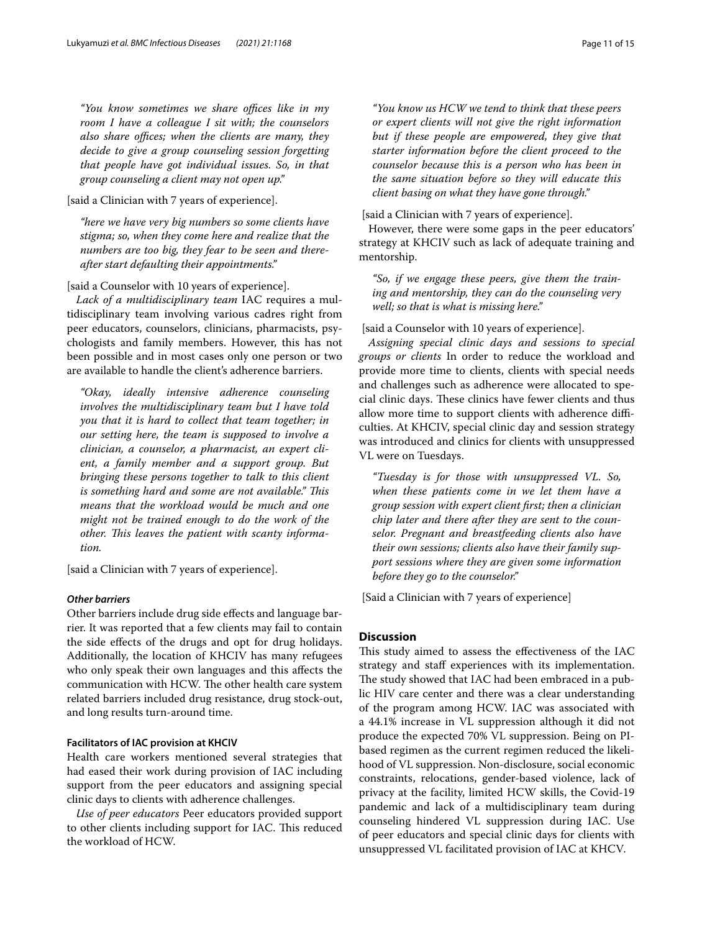"You know sometimes we share offices like in my *room I have a colleague I sit with; the counselors also share offices; when the clients are many, they decide to give a group counseling session forgetting that people have got individual issues. So, in that group counseling a client may not open up."*

[said a Clinician with 7 years of experience].

*"here we have very big numbers so some clients have stigma; so, when they come here and realize that the numbers are too big, they fear to be seen and thereafter start defaulting their appointments."*

[said a Counselor with 10 years of experience].

*Lack of a multidisciplinary team* IAC requires a multidisciplinary team involving various cadres right from peer educators, counselors, clinicians, pharmacists, psychologists and family members. However, this has not been possible and in most cases only one person or two are available to handle the client's adherence barriers.

*"Okay, ideally intensive adherence counseling involves the multidisciplinary team but I have told you that it is hard to collect that team together; in our setting here, the team is supposed to involve a clinician, a counselor, a pharmacist, an expert client, a family member and a support group. But bringing these persons together to talk to this client is something hard and some are not available." Tis means that the workload would be much and one might not be trained enough to do the work of the other. Tis leaves the patient with scanty information.*

[said a Clinician with 7 years of experience].

### *Other barriers*

Other barriers include drug side efects and language barrier. It was reported that a few clients may fail to contain the side efects of the drugs and opt for drug holidays. Additionally, the location of KHCIV has many refugees who only speak their own languages and this afects the communication with HCW. The other health care system related barriers included drug resistance, drug stock-out, and long results turn-around time.

#### **Facilitators of IAC provision at KHCIV**

Health care workers mentioned several strategies that had eased their work during provision of IAC including support from the peer educators and assigning special clinic days to clients with adherence challenges.

*Use of peer educators* Peer educators provided support to other clients including support for IAC. This reduced the workload of HCW.

*"You know us HCW we tend to think that these peers or expert clients will not give the right information but if these people are empowered, they give that starter information before the client proceed to the counselor because this is a person who has been in the same situation before so they will educate this client basing on what they have gone through."*

[said a Clinician with 7 years of experience].

However, there were some gaps in the peer educators' strategy at KHCIV such as lack of adequate training and mentorship.

*"So, if we engage these peers, give them the training and mentorship, they can do the counseling very well; so that is what is missing here."*

#### [said a Counselor with 10 years of experience].

*Assigning special clinic days and sessions to special groups or clients* In order to reduce the workload and provide more time to clients, clients with special needs and challenges such as adherence were allocated to special clinic days. These clinics have fewer clients and thus allow more time to support clients with adherence difficulties. At KHCIV, special clinic day and session strategy was introduced and clinics for clients with unsuppressed VL were on Tuesdays.

*"Tuesday is for those with unsuppressed VL. So, when these patients come in we let them have a group session with expert client frst; then a clinician chip later and there after they are sent to the counselor. Pregnant and breastfeeding clients also have their own sessions; clients also have their family support sessions where they are given some information before they go to the counselor."*

[Said a Clinician with 7 years of experience]

#### **Discussion**

This study aimed to assess the effectiveness of the IAC strategy and staff experiences with its implementation. The study showed that IAC had been embraced in a public HIV care center and there was a clear understanding of the program among HCW. IAC was associated with a 44.1% increase in VL suppression although it did not produce the expected 70% VL suppression. Being on PIbased regimen as the current regimen reduced the likelihood of VL suppression. Non-disclosure, social economic constraints, relocations, gender-based violence, lack of privacy at the facility, limited HCW skills, the Covid-19 pandemic and lack of a multidisciplinary team during counseling hindered VL suppression during IAC. Use of peer educators and special clinic days for clients with unsuppressed VL facilitated provision of IAC at KHCV*.*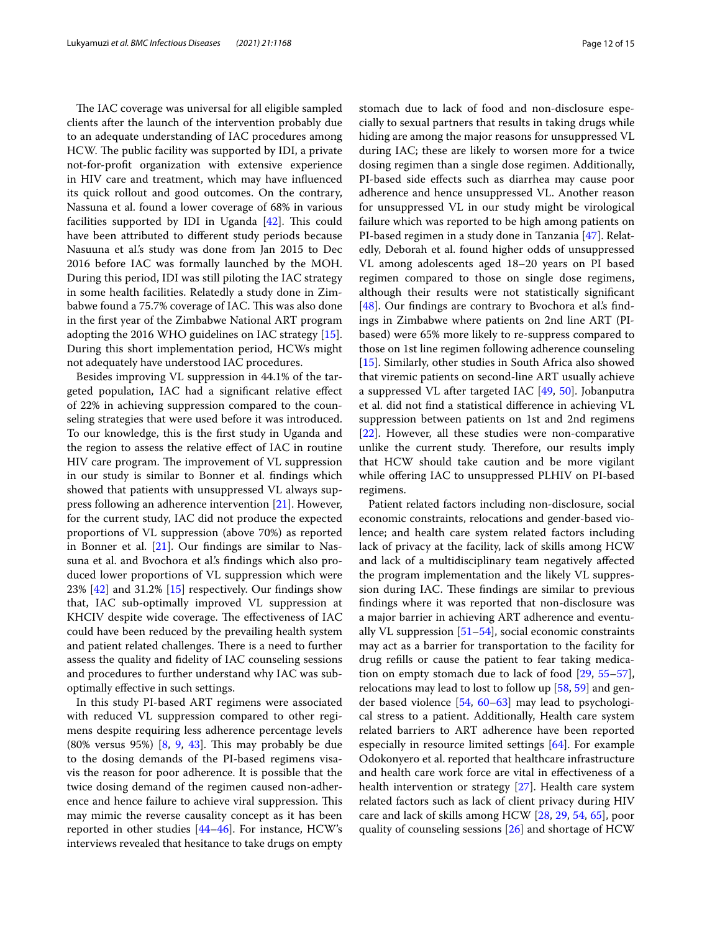The IAC coverage was universal for all eligible sampled clients after the launch of the intervention probably due to an adequate understanding of IAC procedures among HCW. The public facility was supported by IDI, a private not-for-proft organization with extensive experience in HIV care and treatment, which may have infuenced its quick rollout and good outcomes. On the contrary, Nassuna et al. found a lower coverage of 68% in various facilities supported by IDI in Uganda  $[42]$ . This could have been attributed to diferent study periods because Nasuuna et al.'s study was done from Jan 2015 to Dec 2016 before IAC was formally launched by the MOH. During this period, IDI was still piloting the IAC strategy in some health facilities. Relatedly a study done in Zimbabwe found a 75.7% coverage of IAC. This was also done in the frst year of the Zimbabwe National ART program adopting the 2016 WHO guidelines on IAC strategy [\[15](#page-13-9)]. During this short implementation period, HCWs might not adequately have understood IAC procedures.

Besides improving VL suppression in 44.1% of the targeted population, IAC had a signifcant relative efect of 22% in achieving suppression compared to the counseling strategies that were used before it was introduced. To our knowledge, this is the frst study in Uganda and the region to assess the relative efect of IAC in routine HIV care program. The improvement of VL suppression in our study is similar to Bonner et al. fndings which showed that patients with unsuppressed VL always suppress following an adherence intervention [\[21](#page-13-13)]. However, for the current study, IAC did not produce the expected proportions of VL suppression (above 70%) as reported in Bonner et al.  $[21]$ . Our findings are similar to Nassuna et al. and Bvochora et al.'s fndings which also produced lower proportions of VL suppression which were  $23\%$  [[42](#page-13-35)] and 31.2% [\[15\]](#page-13-9) respectively. Our findings show that, IAC sub-optimally improved VL suppression at KHCIV despite wide coverage. The effectiveness of IAC could have been reduced by the prevailing health system and patient related challenges. There is a need to further assess the quality and fdelity of IAC counseling sessions and procedures to further understand why IAC was suboptimally efective in such settings.

In this study PI-based ART regimens were associated with reduced VL suppression compared to other regimens despite requiring less adherence percentage levels  $(80\%$  versus 95%)  $[8, 9, 43]$  $[8, 9, 43]$  $[8, 9, 43]$  $[8, 9, 43]$  $[8, 9, 43]$ . This may probably be due to the dosing demands of the PI-based regimens visavis the reason for poor adherence. It is possible that the twice dosing demand of the regimen caused non-adherence and hence failure to achieve viral suppression. This may mimic the reverse causality concept as it has been reported in other studies [[44](#page-14-1)[–46](#page-14-2)]. For instance, HCW's interviews revealed that hesitance to take drugs on empty stomach due to lack of food and non-disclosure especially to sexual partners that results in taking drugs while hiding are among the major reasons for unsuppressed VL during IAC; these are likely to worsen more for a twice dosing regimen than a single dose regimen. Additionally, PI-based side efects such as diarrhea may cause poor adherence and hence unsuppressed VL. Another reason for unsuppressed VL in our study might be virological failure which was reported to be high among patients on PI-based regimen in a study done in Tanzania [[47\]](#page-14-3). Relatedly, Deborah et al. found higher odds of unsuppressed VL among adolescents aged 18–20 years on PI based regimen compared to those on single dose regimens, although their results were not statistically signifcant [[48\]](#page-14-4). Our findings are contrary to Bvochora et al's findings in Zimbabwe where patients on 2nd line ART (PIbased) were 65% more likely to re-suppress compared to those on 1st line regimen following adherence counseling [[15\]](#page-13-9). Similarly, other studies in South Africa also showed that viremic patients on second-line ART usually achieve a suppressed VL after targeted IAC [\[49](#page-14-5), [50\]](#page-14-6). Jobanputra et al. did not fnd a statistical diference in achieving VL suppression between patients on 1st and 2nd regimens [[22\]](#page-13-14). However, all these studies were non-comparative unlike the current study. Therefore, our results imply that HCW should take caution and be more vigilant while offering IAC to unsuppressed PLHIV on PI-based regimens.

Patient related factors including non-disclosure, social economic constraints, relocations and gender-based violence; and health care system related factors including lack of privacy at the facility, lack of skills among HCW and lack of a multidisciplinary team negatively afected the program implementation and the likely VL suppression during IAC. These findings are similar to previous fndings where it was reported that non-disclosure was a major barrier in achieving ART adherence and eventually VL suppression  $[51–54]$  $[51–54]$  $[51–54]$ , social economic constraints may act as a barrier for transportation to the facility for drug reflls or cause the patient to fear taking medication on empty stomach due to lack of food [\[29,](#page-13-22) [55](#page-14-9)[–57](#page-14-10)], relocations may lead to lost to follow up [\[58,](#page-14-11) [59](#page-14-12)] and gender based violence [[54](#page-14-8), [60](#page-14-13)[–63](#page-14-14)] may lead to psychological stress to a patient. Additionally, Health care system related barriers to ART adherence have been reported especially in resource limited settings [[64](#page-14-15)]. For example Odokonyero et al. reported that healthcare infrastructure and health care work force are vital in efectiveness of a health intervention or strategy [[27](#page-13-37)]. Health care system related factors such as lack of client privacy during HIV care and lack of skills among HCW [[28,](#page-13-38) [29](#page-13-22), [54](#page-14-8), [65\]](#page-14-16), poor quality of counseling sessions [[26](#page-13-21)] and shortage of HCW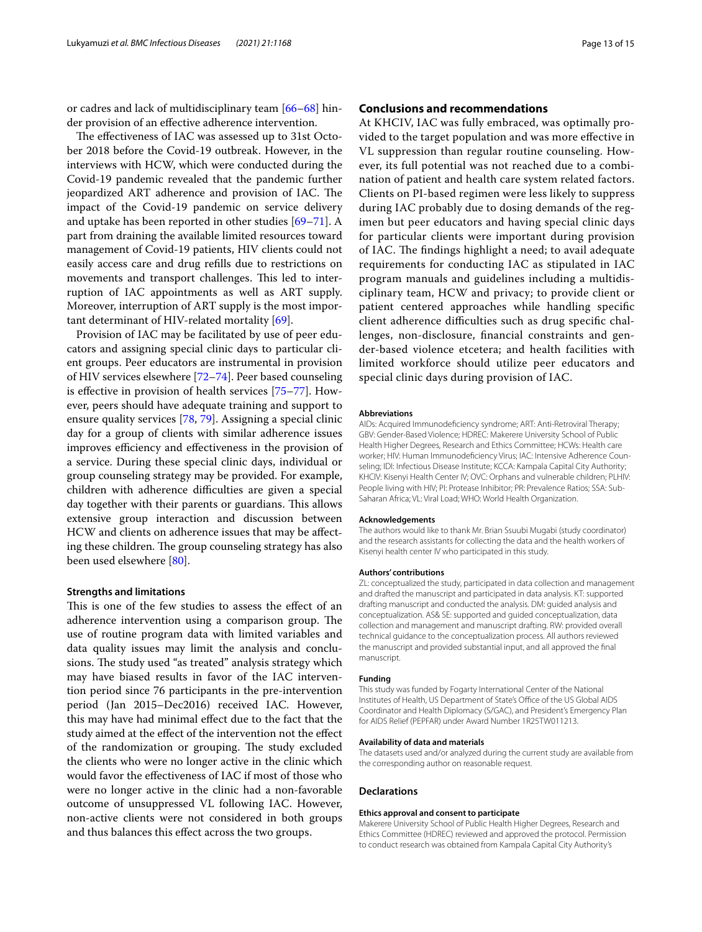or cadres and lack of multidisciplinary team [\[66](#page-14-17)–[68\]](#page-14-18) hinder provision of an efective adherence intervention.

The effectiveness of IAC was assessed up to 31st October 2018 before the Covid-19 outbreak. However, in the interviews with HCW, which were conducted during the Covid-19 pandemic revealed that the pandemic further jeopardized ART adherence and provision of IAC. The impact of the Covid-19 pandemic on service delivery and uptake has been reported in other studies [\[69–](#page-14-19)[71\]](#page-14-20). A part from draining the available limited resources toward management of Covid-19 patients, HIV clients could not easily access care and drug reflls due to restrictions on movements and transport challenges. This led to interruption of IAC appointments as well as ART supply. Moreover, interruption of ART supply is the most important determinant of HIV-related mortality [[69\]](#page-14-19).

Provision of IAC may be facilitated by use of peer educators and assigning special clinic days to particular client groups. Peer educators are instrumental in provision of HIV services elsewhere [\[72](#page-14-21)[–74](#page-14-22)]. Peer based counseling is efective in provision of health services [\[75](#page-14-23)[–77\]](#page-14-24). However, peers should have adequate training and support to ensure quality services [\[78](#page-14-25), [79\]](#page-14-26). Assigning a special clinic day for a group of clients with similar adherence issues improves efficiency and effectiveness in the provision of a service. During these special clinic days, individual or group counseling strategy may be provided. For example, children with adherence difficulties are given a special day together with their parents or guardians. This allows extensive group interaction and discussion between HCW and clients on adherence issues that may be afecting these children. The group counseling strategy has also been used elsewhere [\[80\]](#page-14-27).

#### **Strengths and limitations**

This is one of the few studies to assess the effect of an adherence intervention using a comparison group. The use of routine program data with limited variables and data quality issues may limit the analysis and conclusions. The study used "as treated" analysis strategy which may have biased results in favor of the IAC intervention period since 76 participants in the pre-intervention period (Jan 2015–Dec2016) received IAC. However, this may have had minimal efect due to the fact that the study aimed at the efect of the intervention not the efect of the randomization or grouping. The study excluded the clients who were no longer active in the clinic which would favor the efectiveness of IAC if most of those who were no longer active in the clinic had a non-favorable outcome of unsuppressed VL following IAC. However, non-active clients were not considered in both groups and thus balances this efect across the two groups.

### **Conclusions and recommendations**

At KHCIV, IAC was fully embraced, was optimally provided to the target population and was more efective in VL suppression than regular routine counseling. However, its full potential was not reached due to a combination of patient and health care system related factors. Clients on PI-based regimen were less likely to suppress during IAC probably due to dosing demands of the regimen but peer educators and having special clinic days for particular clients were important during provision of IAC. The findings highlight a need; to avail adequate requirements for conducting IAC as stipulated in IAC program manuals and guidelines including a multidisciplinary team, HCW and privacy; to provide client or patient centered approaches while handling specifc client adherence difficulties such as drug specific challenges, non-disclosure, fnancial constraints and gender-based violence etcetera; and health facilities with limited workforce should utilize peer educators and special clinic days during provision of IAC.

#### **Abbreviations**

AIDs: Acquired Immunodefciency syndrome; ART: Anti-Retroviral Therapy; GBV: Gender-Based Violence; HDREC: Makerere University School of Public Health Higher Degrees, Research and Ethics Committee; HCWs: Health care worker; HIV: Human Immunodefciency Virus; IAC: Intensive Adherence Counseling; IDI: Infectious Disease Institute; KCCA: Kampala Capital City Authority; KHCIV: Kisenyi Health Center IV; OVC: Orphans and vulnerable children; PLHIV: People living with HIV; PI: Protease Inhibitor; PR: Prevalence Ratios; SSA: Sub-Saharan Africa; VL: Viral Load; WHO: World Health Organization.

#### **Acknowledgements**

The authors would like to thank Mr. Brian Ssuubi Mugabi (study coordinator) and the research assistants for collecting the data and the health workers of Kisenyi health center IV who participated in this study.

#### **Authors' contributions**

ZL: conceptualized the study, participated in data collection and management and drafted the manuscript and participated in data analysis. KT: supported drafting manuscript and conducted the analysis. DM: guided analysis and conceptualization. AS& SE: supported and guided conceptualization, data collection and management and manuscript drafting. RW: provided overall technical guidance to the conceptualization process. All authors reviewed the manuscript and provided substantial input, and all approved the fnal manuscript.

#### **Funding**

This study was funded by Fogarty International Center of the National Institutes of Health, US Department of State's Office of the US Global AIDS Coordinator and Health Diplomacy (S/GAC), and President's Emergency Plan for AIDS Relief (PEPFAR) under Award Number 1R25TW011213.

#### **Availability of data and materials**

The datasets used and/or analyzed during the current study are available from the corresponding author on reasonable request.

#### **Declarations**

#### **Ethics approval and consent to participate**

Makerere University School of Public Health Higher Degrees, Research and Ethics Committee (HDREC) reviewed and approved the protocol. Permission to conduct research was obtained from Kampala Capital City Authority's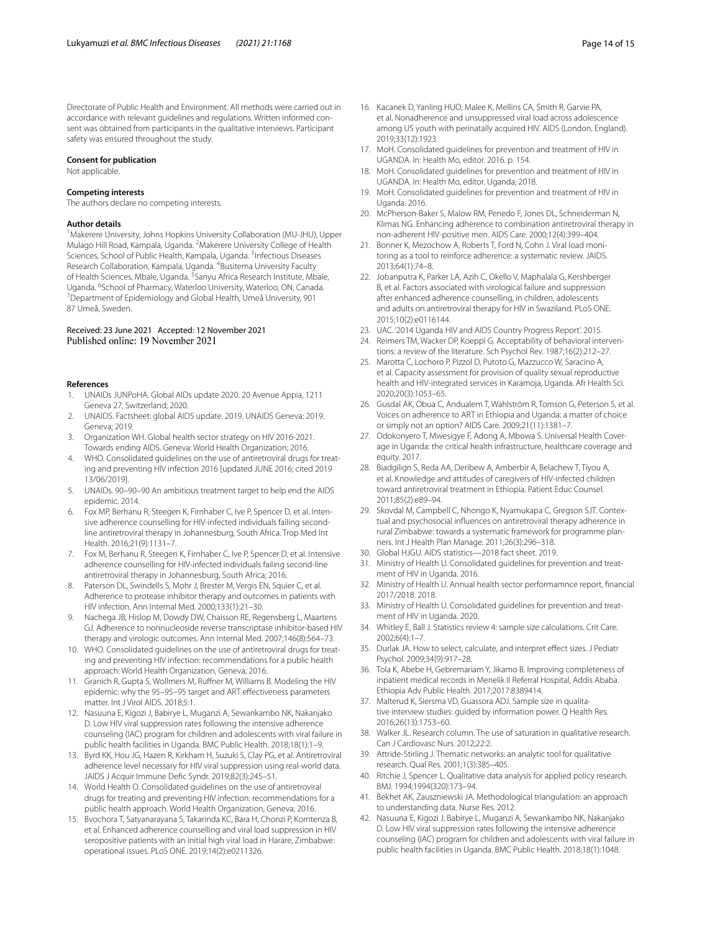Directorate of Public Health and Environment. All methods were carried out in accordance with relevant guidelines and regulations. Written informed consent was obtained from participants in the qualitative interviews. Participant safety was ensured throughout the study.

#### **Consent for publication**

Not applicable.

### **Competing interests**

The authors declare no competing interests.

#### **Author details**

<sup>1</sup> Makerere University, Johns Hopkins University Collaboration (MU-JHU), Upper Mulago Hill Road, Kampala, Uganda. <sup>2</sup> Makerere University College of Health Sciences, School of Public Health, Kampala, Uganda. <sup>3</sup>Infectious Diseases Research Collaboration, Kampala, Uganda. <sup>4</sup>Busitema University Faculty of Health Sciences, Mbale, Uganda. <sup>5</sup>Sanyu Africa Research Institute, Mbale, Uganda. <sup>6</sup>School of Pharmacy, Waterloo University, Waterloo, ON, Canada.<br><sup>7</sup>Department of Enidemiology and Global Health, Umeå University, 901 Department of Epidemiology and Global Health, Umeå University, 901 87 Umeå, Sweden.

#### Received: 23 June 2021 Accepted: 12 November 2021 Published online: 19 November 2021

#### **References**

- <span id="page-13-0"></span>1. UNAIDs JUNPoHA. Global AIDs update 2020. 20 Avenue Appia, 1211 Geneva 27, Switzerland; 2020.
- <span id="page-13-1"></span>2. UNAIDS. Factsheet: global AIDS update. 2019. UNAIDS Geneva: 2019. Geneva; 2019.
- <span id="page-13-2"></span>3. Organization WH. Global health sector strategy on HIV 2016-2021. Towards ending AIDS. Geneva: World Health Organization; 2016.
- <span id="page-13-3"></span>4. WHO. Consolidated guidelines on the use of antiretroviral drugs for treating and preventing HIV infection 2016 [updated JUNE 2016; cited 2019 13/06/2019].
- <span id="page-13-16"></span>5. UNAIDs. 90–90–90 An ambitious treatment target to help end the AIDS epidemic. 2014.
- 6. Fox MP, Berhanu R, Steegen K, Firnhaber C, Ive P, Spencer D, et al. Intensive adherence counselling for HIV-infected individuals failing secondline antiretroviral therapy in Johannesburg, South Africa. Trop Med Int Health. 2016;21(9):1131–7.
- 7. Fox M, Berhanu R, Steegen K, Firnhaber C, Ive P, Spencer D, et al. Intensive adherence counselling for HIV-infected individuals failing second-line antiretroviral therapy in Johannesburg, South Africa; 2016.
- <span id="page-13-36"></span>8. Paterson DL, Swindells S, Mohr J, Brester M, Vergis EN, Squier C, et al. Adherence to protease inhibitor therapy and outcomes in patients with HIV infection. Ann Internal Med. 2000;133(1):21–30.
- <span id="page-13-4"></span>9. Nachega JB, Hislop M, Dowdy DW, Chaisson RE, Regensberg L, Maartens GJ. Adherence to nonnucleoside reverse transcriptase inhibitor-based HIV therapy and virologic outcomes. Ann Internal Med. 2007;146(8):564–73.
- <span id="page-13-5"></span>10. WHO. Consolidated guidelines on the use of antiretroviral drugs for treating and preventing HIV infection: recommendations for a public health approach: World Health Organization, Geneva; 2016.
- <span id="page-13-6"></span>11. Granich R, Gupta S, Wollmers M, Rufner M, Williams B. Modeling the HIV epidemic: why the 95–95–95 target and ART efectiveness parameters matter. Int J Virol AIDS. 2018;5:1.
- <span id="page-13-20"></span>12. Nasuuna E, Kigozi J, Babirye L, Muganzi A, Sewankambo NK, Nakanjako D. Low HIV viral suppression rates following the intensive adherence counseling (IAC) program for children and adolescents with viral failure in public health facilities in Uganda. BMC Public Health. 2018;18(1):1–9.
- <span id="page-13-7"></span>13. Byrd KK, Hou JG, Hazen R, Kirkham H, Suzuki S, Clay PG, et al. Antiretroviral adherence level necessary for HIV viral suppression using real-world data. JAIDS J Acquir Immune Defc Syndr. 2019;82(3):245–51.
- <span id="page-13-8"></span>14. World Health O. Consolidated guidelines on the use of antiretroviral drugs for treating and preventing HIV infection: recommendations for a public health approach. World Health Organization, Geneva; 2016.
- <span id="page-13-9"></span>15. Bvochora T, Satyanarayana S, Takarinda KC, Bara H, Chonzi P, Komtenza B, et al. Enhanced adherence counselling and viral load suppression in HIV seropositive patients with an initial high viral load in Harare, Zimbabwe: operational issues. PLoS ONE. 2019;14(2):e0211326.
- <span id="page-13-10"></span>16. Kacanek D, Yanling HUO, Malee K, Mellins CA, Smith R, Garvie PA, et al. Nonadherence and unsuppressed viral load across adolescence among US youth with perinatally acquired HIV. AIDS (London, England). 2019;33(12):1923.
- <span id="page-13-11"></span>17. MoH. Consolidated guidelines for prevention and treatment of HIV in UGANDA. In: Health Mo, editor. 2016. p. 154.
- <span id="page-13-12"></span>18. MoH. Consolidated guidelines for prevention and treatment of HIV in UGANDA. In: Health Mo, editor. Uganda; 2018.
- <span id="page-13-15"></span>19. MoH. Consolidated guidelines for prevention and treatment of HIV in Uganda. 2016.
- 20. McPherson-Baker S, Malow RM, Penedo F, Jones DL, Schneiderman N, Klimas NG. Enhancing adherence to combination antiretroviral therapy in non-adherent HIV-positive men. AIDS Care. 2000;12(4):399–404.
- <span id="page-13-13"></span>21. Bonner K, Mezochow A, Roberts T, Ford N, Cohn J. Viral load monitoring as a tool to reinforce adherence: a systematic review. JAIDS. 2013;64(1):74–8.
- <span id="page-13-14"></span>22. Jobanputra K, Parker LA, Azih C, Okello V, Maphalala G, Kershberger B, et al. Factors associated with virological failure and suppression after enhanced adherence counselling, in children, adolescents and adults on antiretroviral therapy for HIV in Swaziland. PLoS ONE. 2015;10(2):e0116144.
- <span id="page-13-17"></span>23. UAC. '2014 Uganda HIV and AIDS Country Progress Report'. 2015.
- <span id="page-13-18"></span>24. Reimers TM, Wacker DP, Koeppl G. Acceptability of behavioral interventions: a review of the literature. Sch Psychol Rev. 1987;16(2):212–27.
- <span id="page-13-19"></span>25. Marotta C, Lochoro P, Pizzol D, Putoto G, Mazzucco W, Saracino A, et al. Capacity assessment for provision of quality sexual reproductive health and HIV-integrated services in Karamoja, Uganda. Afr Health Sci. 2020;20(3):1053–65.
- <span id="page-13-21"></span>26. Gusdal AK, Obua C, Andualem T, Wahlström R, Tomson G, Peterson S, et al. Voices on adherence to ART in Ethiopia and Uganda: a matter of choice or simply not an option? AIDS Care. 2009;21(11):1381–7.
- <span id="page-13-37"></span>27. Odokonyero T, Mwesigye F, Adong A, Mbowa S. Universal Health Coverage in Uganda: the critical health infrastructure, healthcare coverage and equity. 2017.
- <span id="page-13-38"></span>28. Biadgilign S, Reda AA, Deribew A, Amberbir A, Belachew T, Tiyou A, et al. Knowledge and attitudes of caregivers of HIV-infected children toward antiretroviral treatment in Ethiopia. Patient Educ Counsel. 2011;85(2):e89–94.
- <span id="page-13-22"></span>29. Skovdal M, Campbell C, Nhongo K, Nyamukapa C, Gregson SJT. Contextual and psychosocial infuences on antiretroviral therapy adherence in rural Zimbabwe: towards a systematic framework for programme planners. Int J Health Plan Manage. 2011;26(3):296–318.
- <span id="page-13-23"></span>30. Global HJGU. AIDS statistics—2018 fact sheet. 2019.
- <span id="page-13-24"></span>31. Ministry of Health U. Consolidated guidelines for prevention and treatment of HIV in Uganda. 2016.
- <span id="page-13-25"></span>32. Ministry of Health U. Annual health sector performamnce report, fnancial 2017/2018. 2018.
- <span id="page-13-26"></span>33. Ministry of Health U. Consolidated guidelines for prevention and treatment of HIV in Uganda. 2020.
- <span id="page-13-27"></span>34. Whitley E, Ball J. Statistics review 4: sample size calculations. Crit Care. 2002;6(4):1–7.
- <span id="page-13-28"></span>35. Durlak JA. How to select, calculate, and interpret efect sizes. J Pediatr Psychol. 2009;34(9):917–28.
- <span id="page-13-29"></span>36. Tola K, Abebe H, Gebremariam Y, Jikamo B. Improving completeness of inpatient medical records in Menelik II Referral Hospital, Addis Ababa. Ethiopia Adv Public Health. 2017;2017:8389414.
- <span id="page-13-30"></span>37. Malterud K, Siersma VD, Guassora ADJ. Sample size in qualitative interview studies: guided by information power. Q Health Res. 2016;26(13):1753–60.
- <span id="page-13-31"></span>38. Walker JL. Research column. The use of saturation in qualitative research. Can J Cardiovasc Nurs. 2012;22:2.
- <span id="page-13-32"></span>39. Attride-Stirling J. Thematic networks: an analytic tool for qualitative research. Qual Res. 2001;1(3):385–405.
- <span id="page-13-33"></span>40. Ritchie J, Spencer L. Qualitative data analysis for applied policy research. BMJ. 1994;1994(320):173–94.
- <span id="page-13-34"></span>41. Bekhet AK, Zauszniewski JA. Methodological triangulation: an approach to understanding data. Nurse Res. 2012.
- <span id="page-13-35"></span>42. Nasuuna E, Kigozi J, Babirye L, Muganzi A, Sewankambo NK, Nakanjako D. Low HIV viral suppression rates following the intensive adherence counseling (IAC) program for children and adolescents with viral failure in public health facilities in Uganda. BMC Public Health. 2018;18(1):1048.